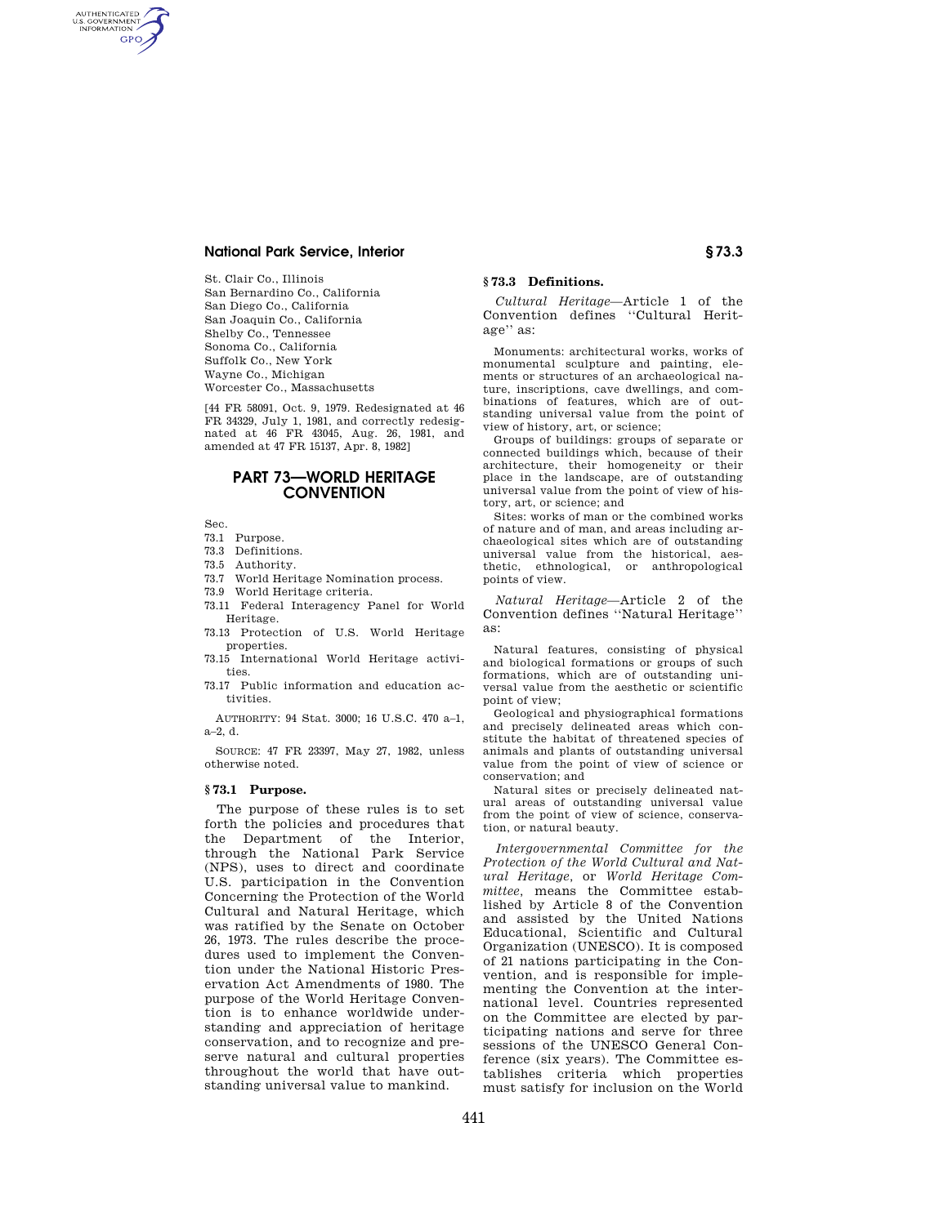St. Clair Co., Illinois San Bernardino Co., California San Diego Co., California San Joaquin Co., California Shelby Co., Tennessee Sonoma Co., California Suffolk Co., New York Wayne Co., Michigan Worcester Co., Massachusetts

[44 FR 58091, Oct. 9, 1979. Redesignated at 46 FR 34329, July 1, 1981, and correctly redesignated at 46 FR 43045, Aug. 26, 1981, and amended at 47 FR 15137, Apr. 8, 1982]

# **PART 73—WORLD HERITAGE CONVENTION**

Sec.

AUTHENTICATED<br>U.S. GOVERNMENT<br>INFORMATION **GPO** 

- 73.1 Purpose.
- 73.3 Definitions.
- 73.5 Authority.
- 73.7 World Heritage Nomination process.
- 73.9 World Heritage criteria.
- 73.11 Federal Interagency Panel for World Heritage.
- 73.13 Protection of U.S. World Heritage properties.
- 73.15 International World Heritage activities.
- 73.17 Public information and education activities.

AUTHORITY: 94 Stat. 3000; 16 U.S.C. 470 a–1,  $a-2, d$ .

SOURCE: 47 FR 23397, May 27, 1982, unless otherwise noted.

### **§ 73.1 Purpose.**

The purpose of these rules is to set forth the policies and procedures that the Department of the Interior, through the National Park Service (NPS), uses to direct and coordinate U.S. participation in the Convention Concerning the Protection of the World Cultural and Natural Heritage, which was ratified by the Senate on October 26, 1973. The rules describe the procedures used to implement the Convention under the National Historic Preservation Act Amendments of 1980. The purpose of the World Heritage Convention is to enhance worldwide understanding and appreciation of heritage conservation, and to recognize and preserve natural and cultural properties throughout the world that have outstanding universal value to mankind.

## **§ 73.3 Definitions.**

*Cultural Heritage*—Article 1 of the Convention defines ''Cultural Heritage'' as:

Monuments: architectural works, works of monumental sculpture and painting, elements or structures of an archaeological nature, inscriptions, cave dwellings, and combinations of features, which are of outstanding universal value from the point of view of history, art, or science;

Groups of buildings: groups of separate or connected buildings which, because of their architecture, their homogeneity or their place in the landscape, are of outstanding universal value from the point of view of history, art, or science; and

Sites: works of man or the combined works of nature and of man, and areas including archaeological sites which are of outstanding universal value from the historical, aesthetic, ethnological, or anthropological points of view.

*Natural Heritage*—Article 2 of the Convention defines ''Natural Heritage'' as:

Natural features, consisting of physical and biological formations or groups of such formations, which are of outstanding universal value from the aesthetic or scientific point of view;

Geological and physiographical formations and precisely delineated areas which constitute the habitat of threatened species of animals and plants of outstanding universal value from the point of view of science or conservation; and

Natural sites or precisely delineated natural areas of outstanding universal value from the point of view of science, conservation, or natural beauty.

*Intergovernmental Committee for the Protection of the World Cultural and Natural Heritage,* or *World Heritage Committee,* means the Committee established by Article 8 of the Convention and assisted by the United Nations Educational, Scientific and Cultural Organization (UNESCO). It is composed of 21 nations participating in the Convention, and is responsible for implementing the Convention at the international level. Countries represented on the Committee are elected by participating nations and serve for three sessions of the UNESCO General Conference (six years). The Committee establishes criteria which properties must satisfy for inclusion on the World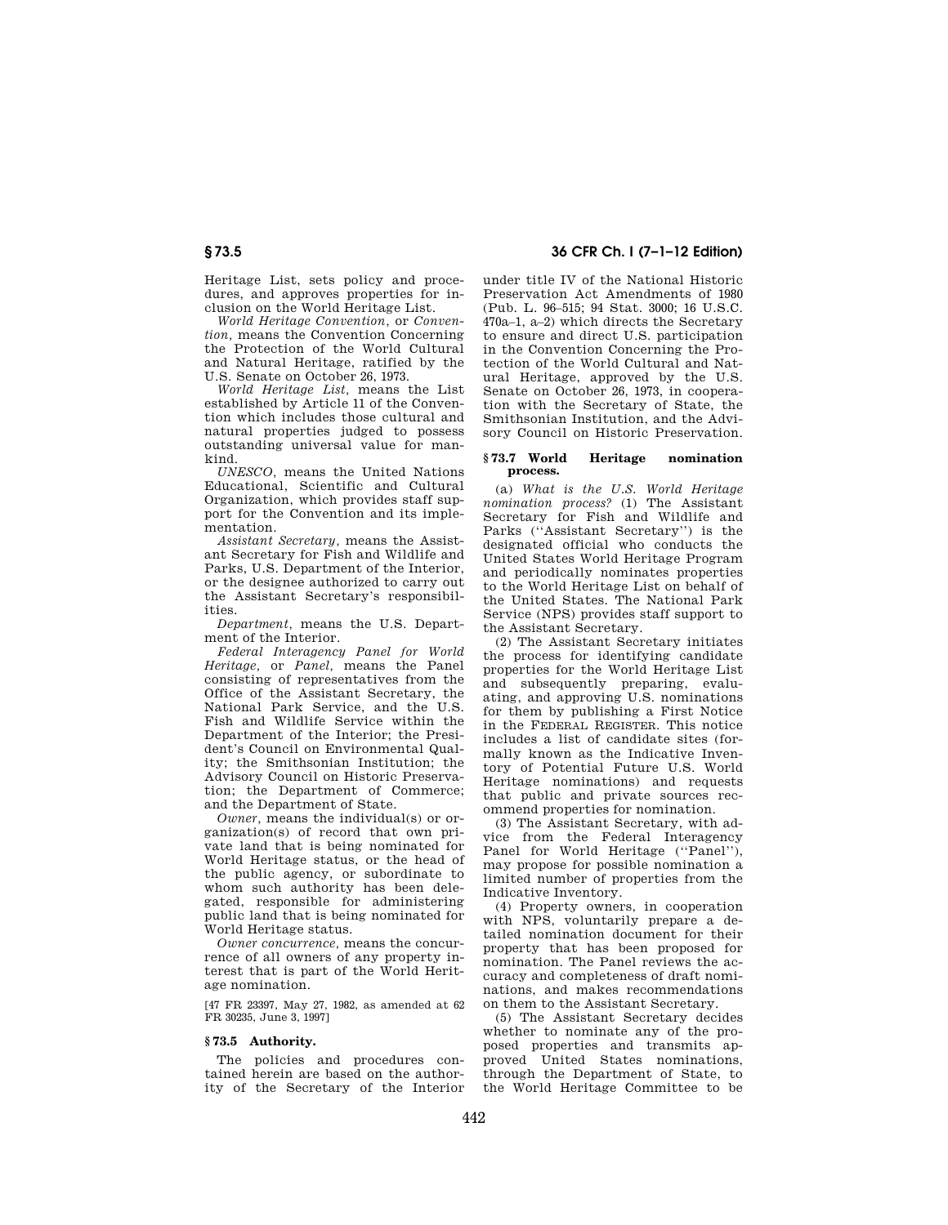Heritage List, sets policy and procedures, and approves properties for inclusion on the World Heritage List.

*World Heritage Convention,* or *Convention,* means the Convention Concerning the Protection of the World Cultural and Natural Heritage, ratified by the U.S. Senate on October 26, 1973.

*World Heritage List,* means the List established by Article 11 of the Convention which includes those cultural and natural properties judged to possess outstanding universal value for mankind.

*UNESCO,* means the United Nations Educational, Scientific and Cultural Organization, which provides staff support for the Convention and its implementation.

*Assistant Secretary,* means the Assistant Secretary for Fish and Wildlife and Parks, U.S. Department of the Interior, or the designee authorized to carry out the Assistant Secretary's responsibilities.

*Department,* means the U.S. Department of the Interior.

*Federal Interagency Panel for World Heritage,* or *Panel,* means the Panel consisting of representatives from the Office of the Assistant Secretary, the National Park Service, and the U.S. Fish and Wildlife Service within the Department of the Interior; the President's Council on Environmental Quality; the Smithsonian Institution; the Advisory Council on Historic Preservation; the Department of Commerce; and the Department of State.

*Owner,* means the individual(s) or organization(s) of record that own private land that is being nominated for World Heritage status, or the head of the public agency, or subordinate to whom such authority has been delegated, responsible for administering public land that is being nominated for World Heritage status.

*Owner concurrence,* means the concurrence of all owners of any property interest that is part of the World Heritage nomination.

[47 FR 23397, May 27, 1982, as amended at 62 FR 30235, June 3, 1997]

#### **§ 73.5 Authority.**

The policies and procedures contained herein are based on the authority of the Secretary of the Interior

**§ 73.5 36 CFR Ch. I (7–1–12 Edition)** 

under title IV of the National Historic Preservation Act Amendments of 1980 (Pub. L. 96–515; 94 Stat. 3000; 16 U.S.C. 470a–1, a–2) which directs the Secretary to ensure and direct U.S. participation in the Convention Concerning the Protection of the World Cultural and Natural Heritage, approved by the U.S. Senate on October 26, 1973, in cooperation with the Secretary of State, the Smithsonian Institution, and the Advisory Council on Historic Preservation.

#### **§ 73.7 World Heritage nomination process.**

(a) *What is the U.S. World Heritage nomination process?* (1) The Assistant Secretary for Fish and Wildlife and Parks (''Assistant Secretary'') is the designated official who conducts the United States World Heritage Program and periodically nominates properties to the World Heritage List on behalf of the United States. The National Park Service (NPS) provides staff support to the Assistant Secretary.

(2) The Assistant Secretary initiates the process for identifying candidate properties for the World Heritage List and subsequently preparing, evaluating, and approving U.S. nominations for them by publishing a First Notice in the FEDERAL REGISTER. This notice includes a list of candidate sites (formally known as the Indicative Inventory of Potential Future U.S. World Heritage nominations) and requests that public and private sources recommend properties for nomination.

(3) The Assistant Secretary, with advice from the Federal Interagency Panel for World Heritage ("Panel"), may propose for possible nomination a limited number of properties from the Indicative Inventory.

(4) Property owners, in cooperation with NPS, voluntarily prepare a detailed nomination document for their property that has been proposed for nomination. The Panel reviews the accuracy and completeness of draft nominations, and makes recommendations on them to the Assistant Secretary.

(5) The Assistant Secretary decides whether to nominate any of the proposed properties and transmits approved United States nominations. through the Department of State, to the World Heritage Committee to be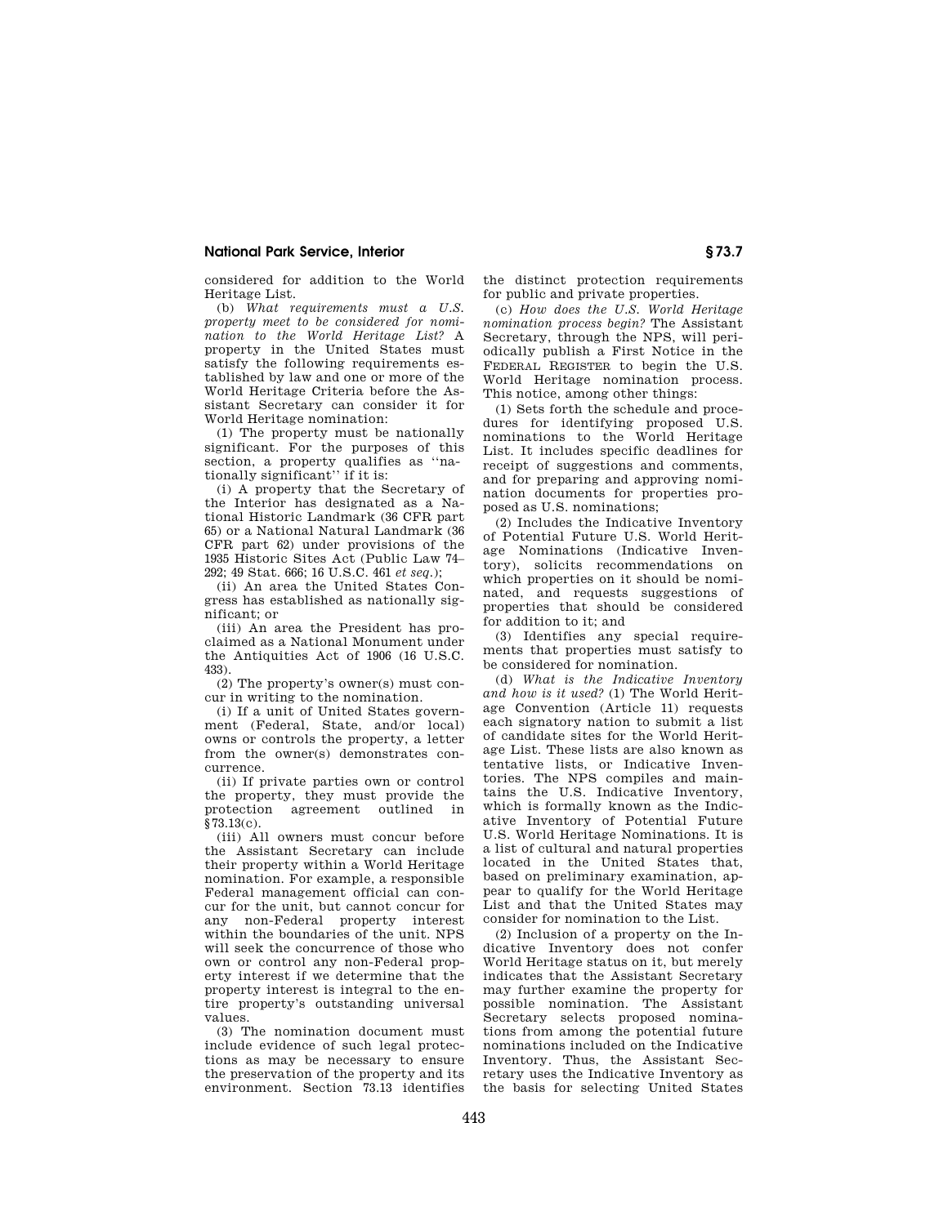considered for addition to the World Heritage List.

(b) *What requirements must a U.S. property meet to be considered for nomination to the World Heritage List?* A property in the United States must satisfy the following requirements established by law and one or more of the World Heritage Criteria before the Assistant Secretary can consider it for World Heritage nomination:

(1) The property must be nationally significant. For the purposes of this section, a property qualifies as ''nationally significant'' if it is:

(i) A property that the Secretary of the Interior has designated as a National Historic Landmark (36 CFR part 65) or a National Natural Landmark (36 CFR part 62) under provisions of the 1935 Historic Sites Act (Public Law 74– 292; 49 Stat. 666; 16 U.S.C. 461 *et seq.*);

(ii) An area the United States Congress has established as nationally significant; or

(iii) An area the President has proclaimed as a National Monument under the Antiquities Act of 1906 (16 U.S.C. 433).

(2) The property's owner(s) must concur in writing to the nomination.

(i) If a unit of United States government (Federal, State, and/or local) owns or controls the property, a letter from the owner(s) demonstrates concurrence.

(ii) If private parties own or control the property, they must provide the protection agreement outlined in §73.13(c).

(iii) All owners must concur before the Assistant Secretary can include their property within a World Heritage nomination. For example, a responsible Federal management official can concur for the unit, but cannot concur for any non-Federal property interest within the boundaries of the unit. NPS will seek the concurrence of those who own or control any non-Federal property interest if we determine that the property interest is integral to the entire property's outstanding universal values.

(3) The nomination document must include evidence of such legal protections as may be necessary to ensure the preservation of the property and its environment. Section 73.13 identifies the distinct protection requirements for public and private properties.

(c) *How does the U.S. World Heritage nomination process begin?* The Assistant Secretary, through the NPS, will periodically publish a First Notice in the FEDERAL REGISTER to begin the U.S. World Heritage nomination process. This notice, among other things:

(1) Sets forth the schedule and procedures for identifying proposed U.S. nominations to the World Heritage List. It includes specific deadlines for receipt of suggestions and comments, and for preparing and approving nomination documents for properties proposed as U.S. nominations;

(2) Includes the Indicative Inventory of Potential Future U.S. World Heritage Nominations (Indicative Inventory), solicits recommendations on which properties on it should be nominated, and requests suggestions of properties that should be considered for addition to it; and

(3) Identifies any special requirements that properties must satisfy to be considered for nomination.

(d) *What is the Indicative Inventory and how is it used?* (1) The World Heritage Convention (Article 11) requests each signatory nation to submit a list of candidate sites for the World Heritage List. These lists are also known as tentative lists, or Indicative Inventories. The NPS compiles and maintains the U.S. Indicative Inventory, which is formally known as the Indicative Inventory of Potential Future U.S. World Heritage Nominations. It is a list of cultural and natural properties located in the United States that, based on preliminary examination, appear to qualify for the World Heritage List and that the United States may consider for nomination to the List.

(2) Inclusion of a property on the Indicative Inventory does not confer World Heritage status on it, but merely indicates that the Assistant Secretary may further examine the property for possible nomination. The Assistant Secretary selects proposed nominations from among the potential future nominations included on the Indicative Inventory. Thus, the Assistant Secretary uses the Indicative Inventory as the basis for selecting United States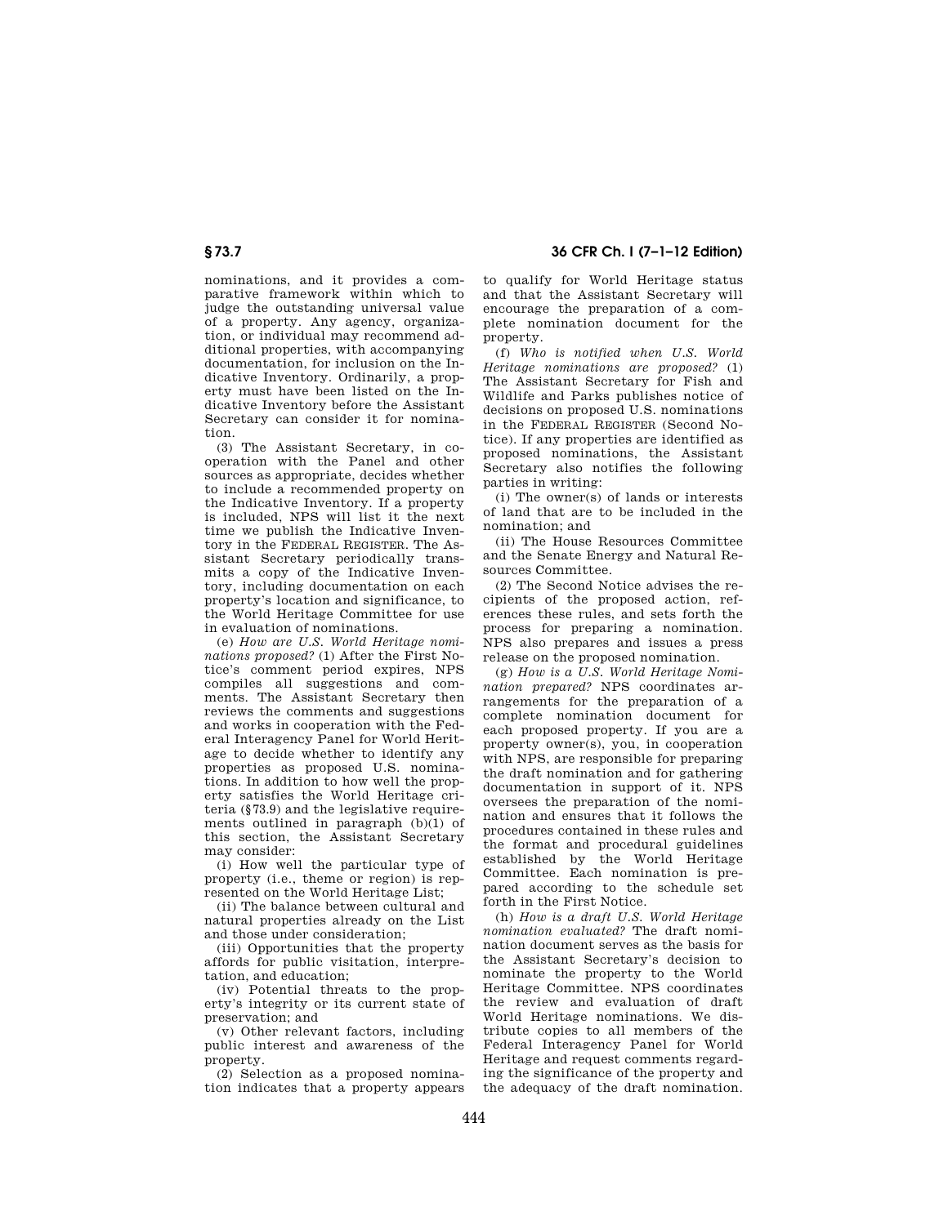# **§ 73.7 36 CFR Ch. I (7–1–12 Edition)**

nominations, and it provides a comparative framework within which to judge the outstanding universal value of a property. Any agency, organization, or individual may recommend additional properties, with accompanying documentation, for inclusion on the Indicative Inventory. Ordinarily, a property must have been listed on the Indicative Inventory before the Assistant Secretary can consider it for nomination.

(3) The Assistant Secretary, in cooperation with the Panel and other sources as appropriate, decides whether to include a recommended property on the Indicative Inventory. If a property is included, NPS will list it the next time we publish the Indicative Inventory in the FEDERAL REGISTER. The Assistant Secretary periodically transmits a copy of the Indicative Inventory, including documentation on each property's location and significance, to the World Heritage Committee for use in evaluation of nominations.

(e) *How are U.S. World Heritage nominations proposed?* (1) After the First Notice's comment period expires, NPS compiles all suggestions and comments. The Assistant Secretary then reviews the comments and suggestions and works in cooperation with the Federal Interagency Panel for World Heritage to decide whether to identify any properties as proposed U.S. nominations. In addition to how well the property satisfies the World Heritage criteria (§73.9) and the legislative requirements outlined in paragraph (b)(1) of this section, the Assistant Secretary may consider:

(i) How well the particular type of property (i.e., theme or region) is represented on the World Heritage List;

(ii) The balance between cultural and natural properties already on the List and those under consideration;

(iii) Opportunities that the property affords for public visitation, interpretation, and education;

(iv) Potential threats to the property's integrity or its current state of preservation; and

(v) Other relevant factors, including public interest and awareness of the property.

(2) Selection as a proposed nomination indicates that a property appears to qualify for World Heritage status and that the Assistant Secretary will encourage the preparation of a complete nomination document for the property.

(f) *Who is notified when U.S. World Heritage nominations are proposed?* (1) The Assistant Secretary for Fish and Wildlife and Parks publishes notice of decisions on proposed U.S. nominations in the FEDERAL REGISTER (Second Notice). If any properties are identified as proposed nominations, the Assistant Secretary also notifies the following parties in writing:

(i) The owner(s) of lands or interests of land that are to be included in the nomination; and

(ii) The House Resources Committee and the Senate Energy and Natural Resources Committee.

(2) The Second Notice advises the recipients of the proposed action, references these rules, and sets forth the process for preparing a nomination. NPS also prepares and issues a press release on the proposed nomination.

(g) *How is a U.S. World Heritage Nomination prepared?* NPS coordinates arrangements for the preparation of a complete nomination document for each proposed property. If you are a property owner(s), you, in cooperation with NPS, are responsible for preparing the draft nomination and for gathering documentation in support of it. NPS oversees the preparation of the nomination and ensures that it follows the procedures contained in these rules and the format and procedural guidelines established by the World Heritage Committee. Each nomination is prepared according to the schedule set forth in the First Notice.

(h) *How is a draft U.S. World Heritage nomination evaluated?* The draft nomination document serves as the basis for the Assistant Secretary's decision to nominate the property to the World Heritage Committee. NPS coordinates the review and evaluation of draft World Heritage nominations. We distribute copies to all members of the Federal Interagency Panel for World Heritage and request comments regarding the significance of the property and the adequacy of the draft nomination.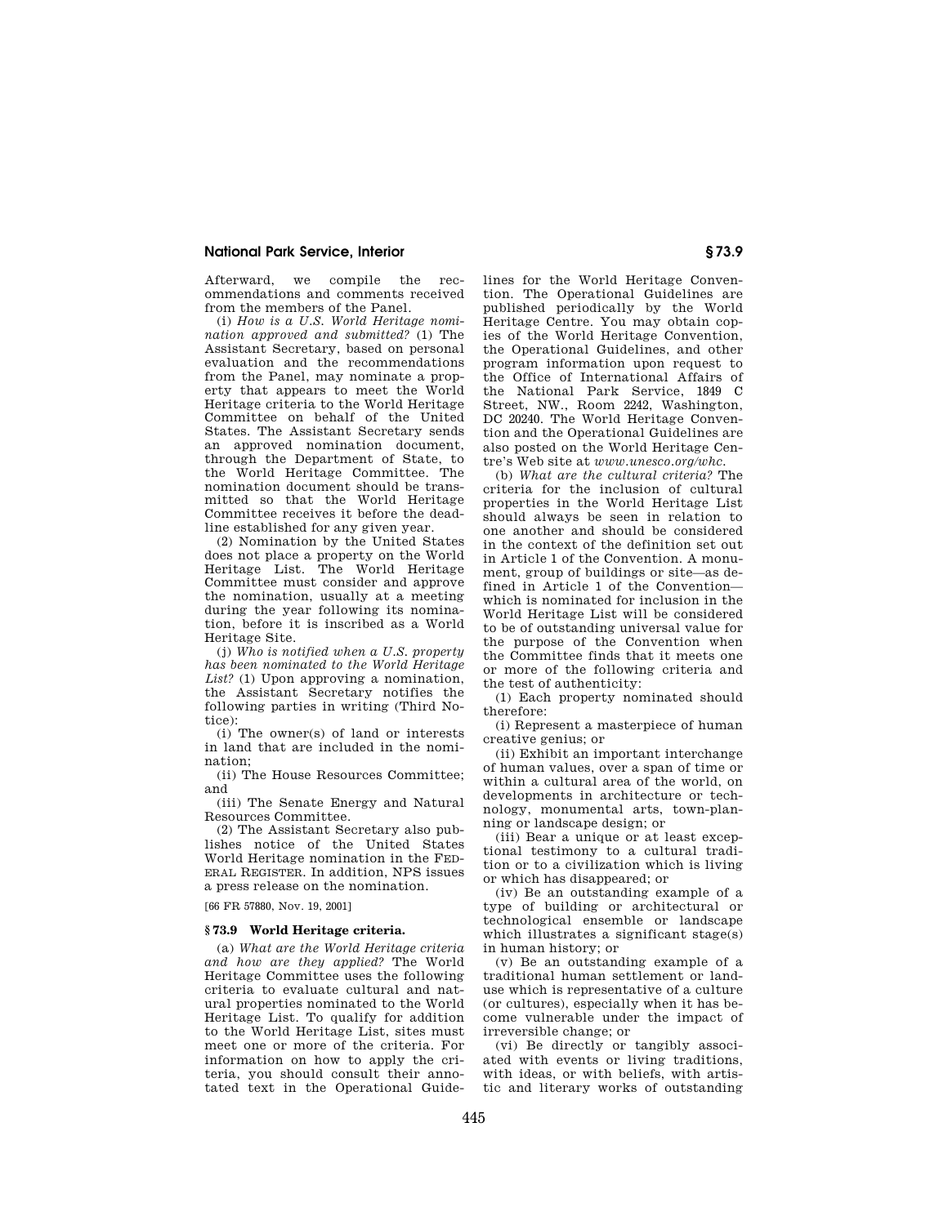Afterward, we compile the recommendations and comments received from the members of the Panel.

(i) *How is a U.S. World Heritage nomination approved and submitted?* (1) The Assistant Secretary, based on personal evaluation and the recommendations from the Panel, may nominate a property that appears to meet the World Heritage criteria to the World Heritage Committee on behalf of the United States. The Assistant Secretary sends an approved nomination document, through the Department of State, to the World Heritage Committee. The nomination document should be transmitted so that the World Heritage Committee receives it before the deadline established for any given year.

(2) Nomination by the United States does not place a property on the World Heritage List. The World Heritage Committee must consider and approve the nomination, usually at a meeting during the year following its nomination, before it is inscribed as a World Heritage Site.

(j) *Who is notified when a U.S. property has been nominated to the World Heritage List?* (1) Upon approving a nomination, the Assistant Secretary notifies the following parties in writing (Third Notice):

(i) The owner(s) of land or interests in land that are included in the nomination;

(ii) The House Resources Committee; and

(iii) The Senate Energy and Natural Resources Committee.

(2) The Assistant Secretary also publishes notice of the United States World Heritage nomination in the FED-ERAL REGISTER. In addition, NPS issues a press release on the nomination.

[66 FR 57880, Nov. 19, 2001]

#### **§ 73.9 World Heritage criteria.**

(a) *What are the World Heritage criteria and how are they applied?* The World Heritage Committee uses the following criteria to evaluate cultural and natural properties nominated to the World Heritage List. To qualify for addition to the World Heritage List, sites must meet one or more of the criteria. For information on how to apply the criteria, you should consult their annotated text in the Operational Guidelines for the World Heritage Convention. The Operational Guidelines are published periodically by the World Heritage Centre. You may obtain copies of the World Heritage Convention, the Operational Guidelines, and other program information upon request to the Office of International Affairs of the National Park Service, 1849 C Street, NW., Room 2242, Washington, DC 20240. The World Heritage Convention and the Operational Guidelines are also posted on the World Heritage Centre's Web site at *www.unesco.org/whc.* 

(b) *What are the cultural criteria?* The criteria for the inclusion of cultural properties in the World Heritage List should always be seen in relation to one another and should be considered in the context of the definition set out in Article 1 of the Convention. A monument, group of buildings or site—as defined in Article 1 of the Convention which is nominated for inclusion in the World Heritage List will be considered to be of outstanding universal value for the purpose of the Convention when the Committee finds that it meets one or more of the following criteria and the test of authenticity:

(1) Each property nominated should therefore:

(i) Represent a masterpiece of human creative genius; or

(ii) Exhibit an important interchange of human values, over a span of time or within a cultural area of the world, on developments in architecture or technology, monumental arts, town-planning or landscape design; or

(iii) Bear a unique or at least exceptional testimony to a cultural tradition or to a civilization which is living or which has disappeared; or

(iv) Be an outstanding example of a type of building or architectural or technological ensemble or landscape which illustrates a significant stage(s) in human history; or

(v) Be an outstanding example of a traditional human settlement or landuse which is representative of a culture (or cultures), especially when it has become vulnerable under the impact of irreversible change; or

(vi) Be directly or tangibly associated with events or living traditions, with ideas, or with beliefs, with artistic and literary works of outstanding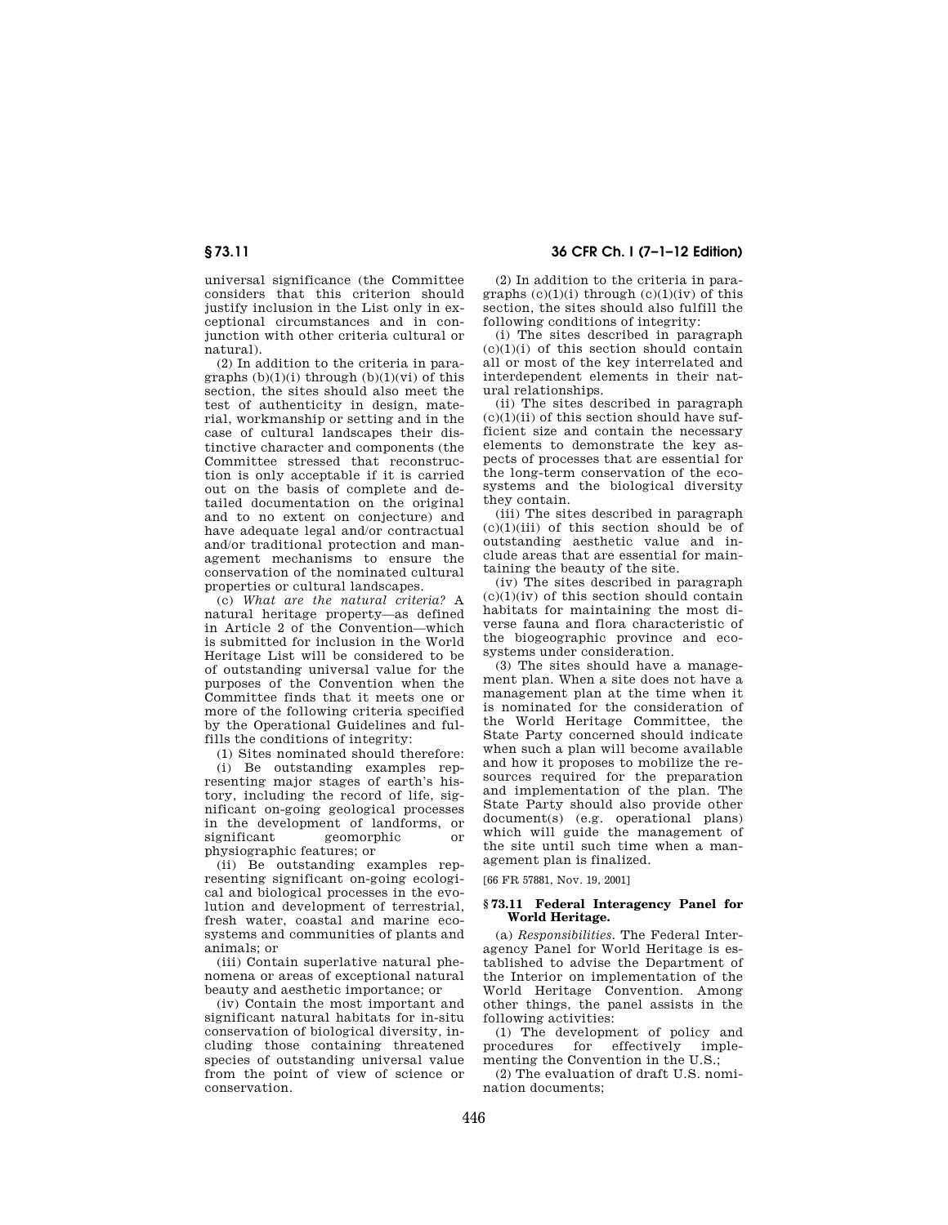universal significance (the Committee considers that this criterion should justify inclusion in the List only in exceptional circumstances and in conjunction with other criteria cultural or natural).

(2) In addition to the criteria in paragraphs  $(b)(1)(i)$  through  $(b)(1)(vi)$  of this section, the sites should also meet the test of authenticity in design, material, workmanship or setting and in the case of cultural landscapes their distinctive character and components (the Committee stressed that reconstruction is only acceptable if it is carried out on the basis of complete and detailed documentation on the original and to no extent on conjecture) and have adequate legal and/or contractual and/or traditional protection and management mechanisms to ensure the conservation of the nominated cultural properties or cultural landscapes.

(c) *What are the natural criteria?* A natural heritage property—as defined in Article 2 of the Convention—which is submitted for inclusion in the World Heritage List will be considered to be of outstanding universal value for the purposes of the Convention when the Committee finds that it meets one or more of the following criteria specified by the Operational Guidelines and fulfills the conditions of integrity:

(1) Sites nominated should therefore:

(i) Be outstanding examples representing major stages of earth's history, including the record of life, significant on-going geological processes in the development of landforms, or significant geomorphic or physiographic features; or

(ii) Be outstanding examples representing significant on-going ecological and biological processes in the evolution and development of terrestrial, fresh water, coastal and marine ecosystems and communities of plants and animals; or

(iii) Contain superlative natural phenomena or areas of exceptional natural beauty and aesthetic importance; or

(iv) Contain the most important and significant natural habitats for in-situ conservation of biological diversity, including those containing threatened species of outstanding universal value from the point of view of science or conservation.

**§ 73.11 36 CFR Ch. I (7–1–12 Edition)** 

(2) In addition to the criteria in paragraphs  $(c)(1)(i)$  through  $(c)(1)(iv)$  of this section, the sites should also fulfill the following conditions of integrity:

(i) The sites described in paragraph  $(c)(1)(i)$  of this section should contain all or most of the key interrelated and interdependent elements in their natural relationships.

(ii) The sites described in paragraph  $(c)(1)(ii)$  of this section should have sufficient size and contain the necessary elements to demonstrate the key aspects of processes that are essential for the long-term conservation of the ecosystems and the biological diversity they contain.

(iii) The sites described in paragraph  $(c)(1)(iii)$  of this section should be of outstanding aesthetic value and include areas that are essential for maintaining the beauty of the site.

(iv) The sites described in paragraph  $(c)(1)(iv)$  of this section should contain habitats for maintaining the most diverse fauna and flora characteristic of the biogeographic province and ecosystems under consideration.

(3) The sites should have a management plan. When a site does not have a management plan at the time when it is nominated for the consideration of the World Heritage Committee, the State Party concerned should indicate when such a plan will become available and how it proposes to mobilize the resources required for the preparation and implementation of the plan. The State Party should also provide other document(s) (e.g. operational plans) which will guide the management of the site until such time when a management plan is finalized.

[66 FR 57881, Nov. 19, 2001]

## **§ 73.11 Federal Interagency Panel for World Heritage.**

(a) *Responsibilities.* The Federal Interagency Panel for World Heritage is established to advise the Department of the Interior on implementation of the World Heritage Convention. Among other things, the panel assists in the following activities:

(1) The development of policy and procedures for effectively implementing the Convention in the U.S.;

(2) The evaluation of draft U.S. nomination documents;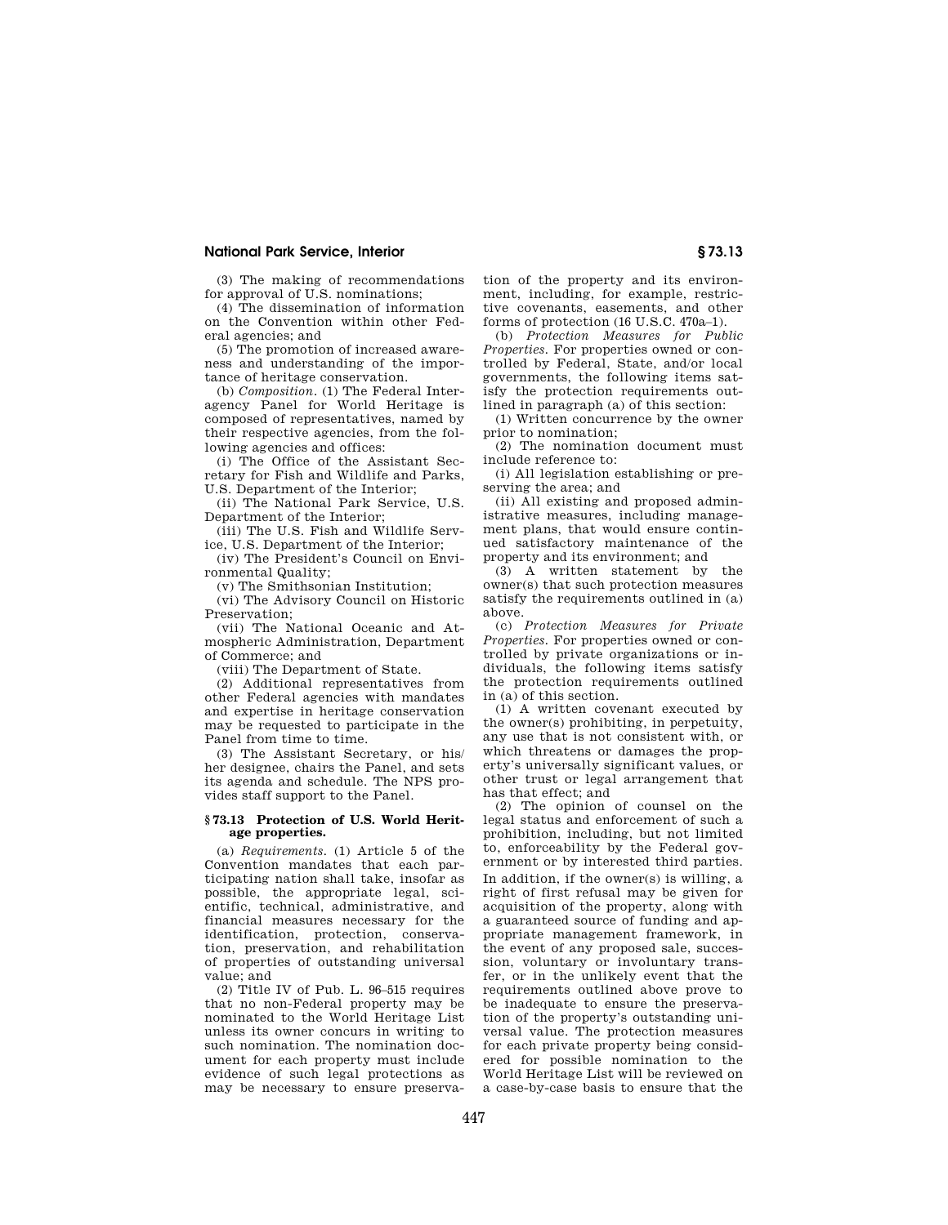(3) The making of recommendations for approval of U.S. nominations;

(4) The dissemination of information on the Convention within other Federal agencies; and

(5) The promotion of increased awareness and understanding of the importance of heritage conservation.

(b) *Composition.* (1) The Federal Interagency Panel for World Heritage is composed of representatives, named by their respective agencies, from the following agencies and offices:

(i) The Office of the Assistant Secretary for Fish and Wildlife and Parks, U.S. Department of the Interior;

(ii) The National Park Service, U.S. Department of the Interior;

(iii) The U.S. Fish and Wildlife Service, U.S. Department of the Interior;

(iv) The President's Council on Environmental Quality;

(v) The Smithsonian Institution;

(vi) The Advisory Council on Historic Preservation;

(vii) The National Oceanic and Atmospheric Administration, Department of Commerce; and

(viii) The Department of State.

(2) Additional representatives from other Federal agencies with mandates and expertise in heritage conservation may be requested to participate in the Panel from time to time.

(3) The Assistant Secretary, or his/ her designee, chairs the Panel, and sets its agenda and schedule. The NPS provides staff support to the Panel.

#### **§ 73.13 Protection of U.S. World Heritage properties.**

(a) *Requirements.* (1) Article 5 of the Convention mandates that each participating nation shall take, insofar as possible, the appropriate legal, scientific, technical, administrative, and financial measures necessary for the identification, protection, conservation, preservation, and rehabilitation of properties of outstanding universal value; and

(2) Title IV of Pub. L. 96–515 requires that no non-Federal property may be nominated to the World Heritage List unless its owner concurs in writing to such nomination. The nomination document for each property must include evidence of such legal protections as may be necessary to ensure preservation of the property and its environment, including, for example, restrictive covenants, easements, and other forms of protection (16 U.S.C. 470a–1).

(b) *Protection Measures for Public Properties.* For properties owned or controlled by Federal, State, and/or local governments, the following items satisfy the protection requirements outlined in paragraph (a) of this section:

(1) Written concurrence by the owner prior to nomination;

(2) The nomination document must include reference to:

(i) All legislation establishing or preserving the area; and

(ii) All existing and proposed administrative measures, including management plans, that would ensure continued satisfactory maintenance of the property and its environment; and

(3) A written statement by the owner(s) that such protection measures satisfy the requirements outlined in (a) above.

(c) *Protection Measures for Private Properties.* For properties owned or controlled by private organizations or individuals, the following items satisfy the protection requirements outlined in (a) of this section.

(1) A written covenant executed by the owner(s) prohibiting, in perpetuity, any use that is not consistent with, or which threatens or damages the property's universally significant values, or other trust or legal arrangement that has that effect; and

(2) The opinion of counsel on the legal status and enforcement of such a prohibition, including, but not limited to, enforceability by the Federal government or by interested third parties. In addition, if the owner(s) is willing, a right of first refusal may be given for acquisition of the property, along with a guaranteed source of funding and appropriate management framework, in the event of any proposed sale, succession, voluntary or involuntary transfer, or in the unlikely event that the requirements outlined above prove to be inadequate to ensure the preservation of the property's outstanding universal value. The protection measures for each private property being considered for possible nomination to the World Heritage List will be reviewed on a case-by-case basis to ensure that the